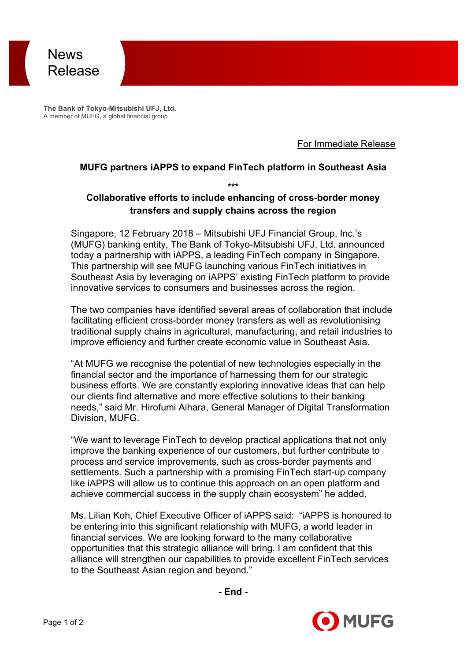

**The Bank of Tokyo-Mitsubishi UFJ, Ltd.** A member of MUFG, a global financial group

For Immediate Release

#### **MUFG partners iAPPS to expand FinTech platform in Southeast Asia**

**\*\*\***

## **Collaborative efforts to include enhancing of cross-border money transfers and supply chains across the region**

Singapore, 12 February 2018 – Mitsubishi UFJ Financial Group, Inc.'s (MUFG) banking entity, The Bank of Tokyo-Mitsubishi UFJ, Ltd. announced today a partnership with iAPPS, a leading FinTech company in Singapore. This partnership will see MUFG launching various FinTech initiatives in Southeast Asia by leveraging on iAPPS' existing FinTech platform to provide innovative services to consumers and businesses across the region.

The two companies have identified several areas of collaboration that include facilitating efficient cross-border money transfers as well as revolutionising traditional supply chains in agricultural, manufacturing, and retail industries to improve efficiency and further create economic value in Southeast Asia.

"At MUFG we recognise the potential of new technologies especially in the financial sector and the importance of harnessing them for our strategic business efforts. We are constantly exploring innovative ideas that can help our clients find alternative and more effective solutions to their banking needs," said Mr. Hirofumi Aihara, General Manager of Digital Transformation Division, MUFG.

"We want to leverage FinTech to develop practical applications that not only improve the banking experience of our customers, but further contribute to process and service improvements, such as cross-border payments and settlements. Such a partnership with a promising FinTech start-up company like iAPPS will allow us to continue this approach on an open platform and achieve commercial success in the supply chain ecosystem" he added.

Ms. Lilian Koh, Chief Executive Officer of iAPPS said: "iAPPS is honoured to be entering into this significant relationship with MUFG, a world leader in financial services. We are looking forward to the many collaborative opportunities that this strategic alliance will bring. I am confident that this alliance will strengthen our capabilities to provide excellent FinTech services to the Southeast Asian region and beyond."

**- End -**